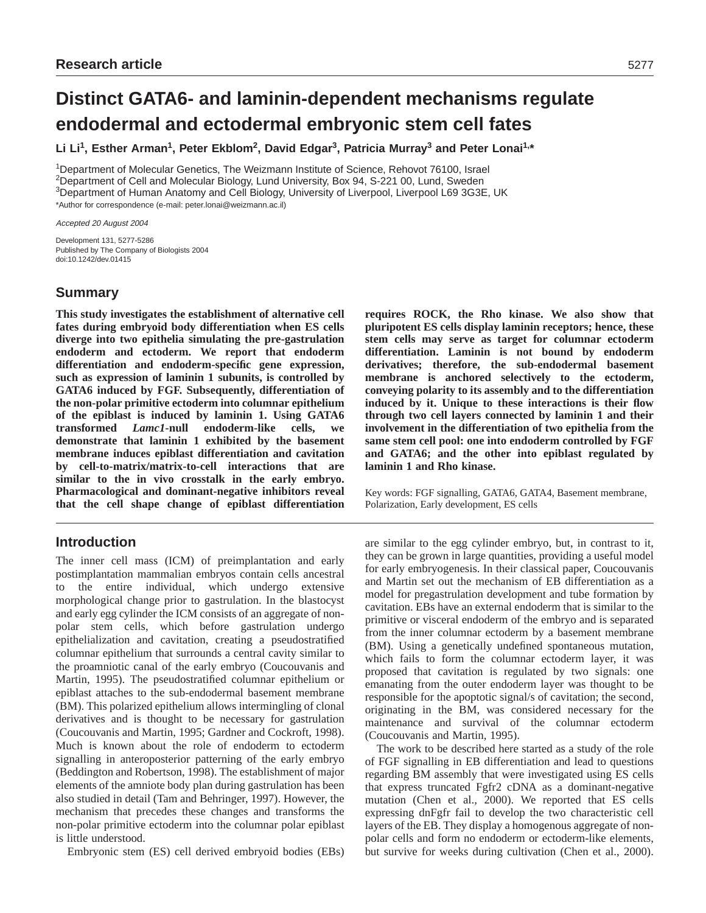# **Distinct GATA6- and laminin-dependent mechanisms regulate endodermal and ectodermal embryonic stem cell fates**

Li Li<sup>1</sup>, Esther Arman<sup>1</sup>, Peter Ekblom<sup>2</sup>, David Edgar<sup>3</sup>, Patricia Murray<sup>3</sup> and Peter Lonai<sup>1,\*</sup>

1Department of Molecular Genetics, The Weizmann Institute of Science, Rehovot 76100, Israel <sup>2</sup>Department of Cell and Molecular Biology, Lund University, Box 94, S-221 00, Lund, Sweden 3Department of Human Anatomy and Cell Biology, University of Liverpool, Liverpool L69 3G3E, UK \*Author for correspondence (e-mail: peter.lonai@weizmann.ac.il)

Accepted 20 August 2004

Development 131, 5277-5286 Published by The Company of Biologists 2004 doi:10.1242/dev.01415

# **Summary**

**This study investigates the establishment of alternative cell fates during embryoid body differentiation when ES cells diverge into two epithelia simulating the pre-gastrulation endoderm and ectoderm. We report that endoderm differentiation and endoderm-specific gene expression, such as expression of laminin 1 subunits, is controlled by GATA6 induced by FGF. Subsequently, differentiation of the non-polar primitive ectoderm into columnar epithelium of the epiblast is induced by laminin 1. Using GATA6 transformed** *Lamc1***-null endoderm-like cells, we demonstrate that laminin 1 exhibited by the basement membrane induces epiblast differentiation and cavitation by cell-to-matrix/matrix-to-cell interactions that are similar to the in vivo crosstalk in the early embryo. Pharmacological and dominant-negative inhibitors reveal that the cell shape change of epiblast differentiation**

# **Introduction**

The inner cell mass (ICM) of preimplantation and early postimplantation mammalian embryos contain cells ancestral to the entire individual, which undergo extensive morphological change prior to gastrulation. In the blastocyst and early egg cylinder the ICM consists of an aggregate of nonpolar stem cells, which before gastrulation undergo epithelialization and cavitation, creating a pseudostratified columnar epithelium that surrounds a central cavity similar to the proamniotic canal of the early embryo (Coucouvanis and Martin, 1995). The pseudostratified columnar epithelium or epiblast attaches to the sub-endodermal basement membrane (BM). This polarized epithelium allows intermingling of clonal derivatives and is thought to be necessary for gastrulation (Coucouvanis and Martin, 1995; Gardner and Cockroft, 1998). Much is known about the role of endoderm to ectoderm signalling in anteroposterior patterning of the early embryo (Beddington and Robertson, 1998). The establishment of major elements of the amniote body plan during gastrulation has been also studied in detail (Tam and Behringer, 1997). However, the mechanism that precedes these changes and transforms the non-polar primitive ectoderm into the columnar polar epiblast is little understood.

Embryonic stem (ES) cell derived embryoid bodies (EBs)

**requires ROCK, the Rho kinase. We also show that pluripotent ES cells display laminin receptors; hence, these stem cells may serve as target for columnar ectoderm differentiation. Laminin is not bound by endoderm derivatives; therefore, the sub-endodermal basement membrane is anchored selectively to the ectoderm, conveying polarity to its assembly and to the differentiation induced by it. Unique to these interactions is their flow through two cell layers connected by laminin 1 and their involvement in the differentiation of two epithelia from the same stem cell pool: one into endoderm controlled by FGF and GATA6; and the other into epiblast regulated by laminin 1 and Rho kinase.**

Key words: FGF signalling, GATA6, GATA4, Basement membrane, Polarization, Early development, ES cells

are similar to the egg cylinder embryo, but, in contrast to it, they can be grown in large quantities, providing a useful model for early embryogenesis. In their classical paper, Coucouvanis and Martin set out the mechanism of EB differentiation as a model for pregastrulation development and tube formation by cavitation. EBs have an external endoderm that is similar to the primitive or visceral endoderm of the embryo and is separated from the inner columnar ectoderm by a basement membrane (BM). Using a genetically undefined spontaneous mutation, which fails to form the columnar ectoderm layer, it was proposed that cavitation is regulated by two signals: one emanating from the outer endoderm layer was thought to be responsible for the apoptotic signal/s of cavitation; the second, originating in the BM, was considered necessary for the maintenance and survival of the columnar ectoderm (Coucouvanis and Martin, 1995).

The work to be described here started as a study of the role of FGF signalling in EB differentiation and lead to questions regarding BM assembly that were investigated using ES cells that express truncated Fgfr2 cDNA as a dominant-negative mutation (Chen et al., 2000). We reported that ES cells expressing dnFgfr fail to develop the two characteristic cell layers of the EB. They display a homogenous aggregate of nonpolar cells and form no endoderm or ectoderm-like elements, but survive for weeks during cultivation (Chen et al., 2000).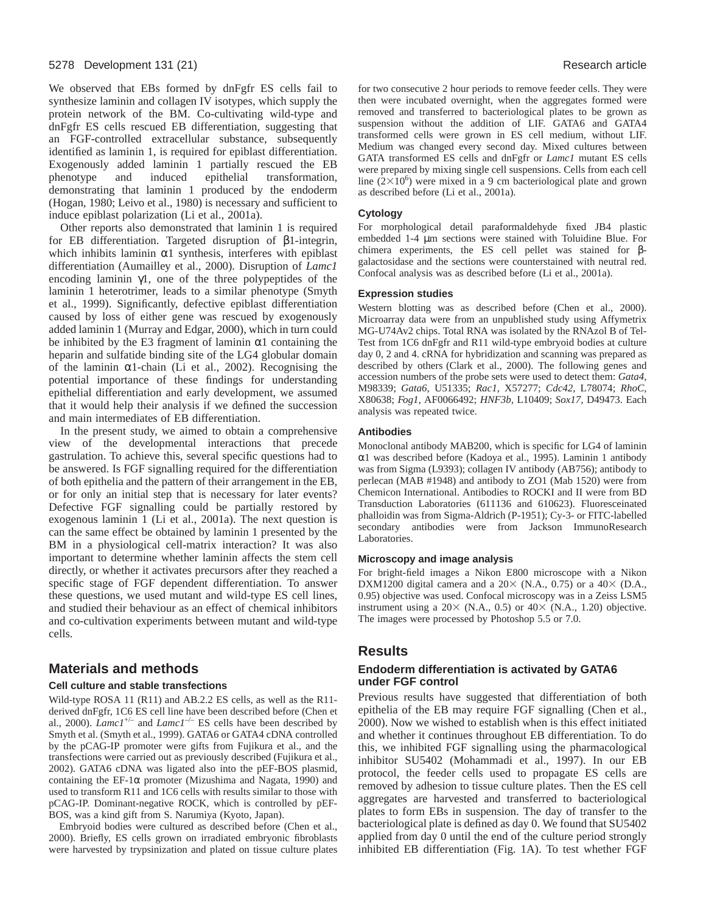We observed that EBs formed by dnFgfr ES cells fail to synthesize laminin and collagen IV isotypes, which supply the protein network of the BM. Co-cultivating wild-type and dnFgfr ES cells rescued EB differentiation, suggesting that an FGF-controlled extracellular substance, subsequently identified as laminin 1, is required for epiblast differentiation. Exogenously added laminin 1 partially rescued the EB phenotype and induced epithelial transformation, demonstrating that laminin 1 produced by the endoderm (Hogan, 1980; Leivo et al., 1980) is necessary and sufficient to induce epiblast polarization (Li et al., 2001a).

Other reports also demonstrated that laminin 1 is required for EB differentiation. Targeted disruption of β1-integrin, which inhibits laminin  $\alpha$ 1 synthesis, interferes with epiblast differentiation (Aumailley et al., 2000). Disruption of *Lamc1* encoding laminin γ1, one of the three polypeptides of the laminin 1 heterotrimer, leads to a similar phenotype (Smyth et al., 1999). Significantly, defective epiblast differentiation caused by loss of either gene was rescued by exogenously added laminin 1 (Murray and Edgar, 2000), which in turn could be inhibited by the E3 fragment of laminin  $\alpha$ 1 containing the heparin and sulfatide binding site of the LG4 globular domain of the laminin α1-chain (Li et al., 2002). Recognising the potential importance of these findings for understanding epithelial differentiation and early development, we assumed that it would help their analysis if we defined the succession and main intermediates of EB differentiation.

In the present study, we aimed to obtain a comprehensive view of the developmental interactions that precede gastrulation. To achieve this, several specific questions had to be answered. Is FGF signalling required for the differentiation of both epithelia and the pattern of their arrangement in the EB, or for only an initial step that is necessary for later events? Defective FGF signalling could be partially restored by exogenous laminin 1 (Li et al., 2001a). The next question is can the same effect be obtained by laminin 1 presented by the BM in a physiological cell-matrix interaction? It was also important to determine whether laminin affects the stem cell directly, or whether it activates precursors after they reached a specific stage of FGF dependent differentiation. To answer these questions, we used mutant and wild-type ES cell lines, and studied their behaviour as an effect of chemical inhibitors and co-cultivation experiments between mutant and wild-type cells.

# **Materials and methods**

#### **Cell culture and stable transfections**

Wild-type ROSA 11 (R11) and AB.2.2 ES cells, as well as the R11 derived dnFgfr, 1C6 ES cell line have been described before (Chen et al., 2000).  $\text{Lanc1}^{+\text{-}}$  and  $\text{Lanc1}^{-\text{-}}$  ES cells have been described by Smyth et al. (Smyth et al., 1999). GATA6 or GATA4 cDNA controlled by the pCAG-IP promoter were gifts from Fujikura et al., and the transfections were carried out as previously described (Fujikura et al., 2002). GATA6 cDNA was ligated also into the pEF-BOS plasmid, containing the EF-1 $\alpha$  promoter (Mizushima and Nagata, 1990) and used to transform R11 and 1C6 cells with results similar to those with pCAG-IP. Dominant-negative ROCK, which is controlled by pEF-BOS, was a kind gift from S. Narumiya (Kyoto, Japan).

Embryoid bodies were cultured as described before (Chen et al., 2000). Briefly, ES cells grown on irradiated embryonic fibroblasts were harvested by trypsinization and plated on tissue culture plates for two consecutive 2 hour periods to remove feeder cells. They were then were incubated overnight, when the aggregates formed were removed and transferred to bacteriological plates to be grown as suspension without the addition of LIF. GATA6 and GATA4 transformed cells were grown in ES cell medium, without LIF. Medium was changed every second day. Mixed cultures between GATA transformed ES cells and dnFgfr or *Lamc1* mutant ES cells were prepared by mixing single cell suspensions. Cells from each cell line  $(2\times10^6)$  were mixed in a 9 cm bacteriological plate and grown as described before (Li et al., 2001a).

#### **Cytology**

For morphological detail paraformaldehyde fixed JB4 plastic embedded 1-4 µm sections were stained with Toluidine Blue. For chimera experiments, the ES cell pellet was stained for βgalactosidase and the sections were counterstained with neutral red. Confocal analysis was as described before (Li et al., 2001a).

#### **Expression studies**

Western blotting was as described before (Chen et al., 2000). Microarray data were from an unpublished study using Affymetrix MG-U74Av2 chips. Total RNA was isolated by the RNAzol B of Tel-Test from 1C6 dnFgfr and R11 wild-type embryoid bodies at culture day 0, 2 and 4. cRNA for hybridization and scanning was prepared as described by others (Clark et al., 2000). The following genes and accession numbers of the probe sets were used to detect them: *Gata4*, M98339; *Gata6*, U51335; *Rac1*, X57277; *Cdc42*, L78074; *RhoC*, X80638; *Fog1,* AF0066492; *HNF3b,* L10409; *Sox17,* D49473. Each analysis was repeated twice.

#### **Antibodies**

Monoclonal antibody MAB200, which is specific for LG4 of laminin α1 was described before (Kadoya et al., 1995). Laminin 1 antibody was from Sigma (L9393); collagen IV antibody (AB756); antibody to perlecan (MAB #1948) and antibody to ZO1 (Mab 1520) were from Chemicon International. Antibodies to ROCKI and II were from BD Transduction Laboratories (611136 and 610623). Fluoresceinated phalloidin was from Sigma-Aldrich (P-1951); Cy-3- or FITC-labelled secondary antibodies were from Jackson ImmunoResearch Laboratories.

#### **Microscopy and image analysis**

For bright-field images a Nikon E800 microscope with a Nikon DXM1200 digital camera and a  $20 \times$  (N.A., 0.75) or a  $40 \times$  (D.A., 0.95) objective was used. Confocal microscopy was in a Zeiss LSM5 instrument using a  $20 \times$  (N.A., 0.5) or  $40 \times$  (N.A., 1.20) objective. The images were processed by Photoshop 5.5 or 7.0.

## **Results**

#### **Endoderm differentiation is activated by GATA6 under FGF control**

Previous results have suggested that differentiation of both epithelia of the EB may require FGF signalling (Chen et al., 2000). Now we wished to establish when is this effect initiated and whether it continues throughout EB differentiation. To do this, we inhibited FGF signalling using the pharmacological inhibitor SU5402 (Mohammadi et al., 1997). In our EB protocol, the feeder cells used to propagate ES cells are removed by adhesion to tissue culture plates. Then the ES cell aggregates are harvested and transferred to bacteriological plates to form EBs in suspension. The day of transfer to the bacteriological plate is defined as day 0. We found that SU5402 applied from day 0 until the end of the culture period strongly inhibited EB differentiation (Fig. 1A). To test whether FGF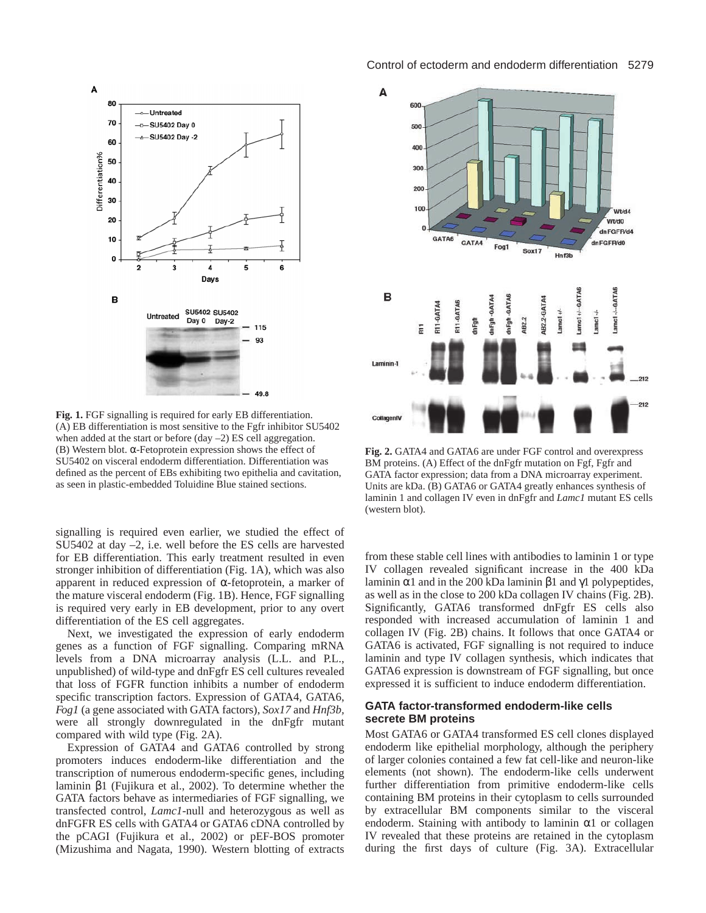

**Fig. 1.** FGF signalling is required for early EB differentiation. (A) EB differentiation is most sensitive to the Fgfr inhibitor SU5402 when added at the start or before (day –2) ES cell aggregation. (B) Western blot. α-Fetoprotein expression shows the effect of SU5402 on visceral endoderm differentiation. Differentiation was defined as the percent of EBs exhibiting two epithelia and cavitation, as seen in plastic-embedded Toluidine Blue stained sections.

signalling is required even earlier, we studied the effect of SU5402 at day –2, i.e. well before the ES cells are harvested for EB differentiation. This early treatment resulted in even stronger inhibition of differentiation (Fig. 1A), which was also apparent in reduced expression of α-fetoprotein, a marker of the mature visceral endoderm (Fig. 1B). Hence, FGF signalling is required very early in EB development, prior to any overt differentiation of the ES cell aggregates.

Next, we investigated the expression of early endoderm genes as a function of FGF signalling. Comparing mRNA levels from a DNA microarray analysis (L.L. and P.L., unpublished) of wild-type and dnFgfr ES cell cultures revealed that loss of FGFR function inhibits a number of endoderm specific transcription factors. Expression of GATA4, GATA6, *Fog1* (a gene associated with GATA factors), *Sox17* and *Hnf3b,* were all strongly downregulated in the dnFgfr mutant compared with wild type (Fig. 2A).

Expression of GATA4 and GATA6 controlled by strong promoters induces endoderm-like differentiation and the transcription of numerous endoderm-specific genes, including laminin β1 (Fujikura et al., 2002). To determine whether the GATA factors behave as intermediaries of FGF signalling, we transfected control, *Lamc1*-null and heterozygous as well as dnFGFR ES cells with GATA4 or GATA6 cDNA controlled by the pCAGI (Fujikura et al., 2002) or pEF-BOS promoter (Mizushima and Nagata, 1990). Western blotting of extracts

#### Control of ectoderm and endoderm differentiation 5279



**Fig. 2.** GATA4 and GATA6 are under FGF control and overexpress BM proteins. (A) Effect of the dnFgfr mutation on Fgf, Fgfr and GATA factor expression; data from a DNA microarray experiment. Units are kDa. (B) GATA6 or GATA4 greatly enhances synthesis of laminin 1 and collagen IV even in dnFgfr and *Lamc1* mutant ES cells (western blot).

from these stable cell lines with antibodies to laminin 1 or type IV collagen revealed significant increase in the 400 kDa laminin α1 and in the 200 kDa laminin β1 and γ1 polypeptides, as well as in the close to 200 kDa collagen IV chains (Fig. 2B). Significantly, GATA6 transformed dnFgfr ES cells also responded with increased accumulation of laminin 1 and collagen IV (Fig. 2B) chains. It follows that once GATA4 or GATA6 is activated, FGF signalling is not required to induce laminin and type IV collagen synthesis, which indicates that GATA6 expression is downstream of FGF signalling, but once expressed it is sufficient to induce endoderm differentiation.

#### **GATA factor-transformed endoderm-like cells secrete BM proteins**

Most GATA6 or GATA4 transformed ES cell clones displayed endoderm like epithelial morphology, although the periphery of larger colonies contained a few fat cell-like and neuron-like elements (not shown). The endoderm-like cells underwent further differentiation from primitive endoderm-like cells containing BM proteins in their cytoplasm to cells surrounded by extracellular BM components similar to the visceral endoderm. Staining with antibody to laminin  $\alpha$ 1 or collagen IV revealed that these proteins are retained in the cytoplasm during the first days of culture (Fig. 3A). Extracellular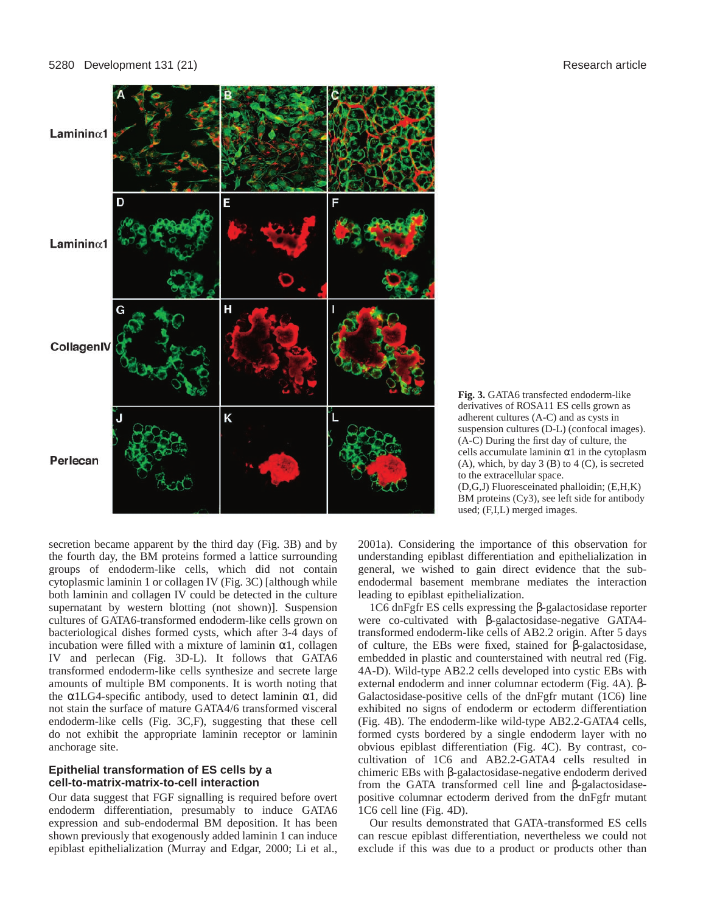

**Fig. 3.** GATA6 transfected endoderm-like derivatives of ROSA11 ES cells grown as adherent cultures (A-C) and as cysts in suspension cultures (D-L) (confocal images). (A-C) During the first day of culture, the cells accumulate laminin  $\alpha$ 1 in the cytoplasm (A), which, by day  $3$  (B) to  $4$  (C), is secreted to the extracellular space. (D,G,J) Fluoresceinated phalloidin; (E,H,K) BM proteins (Cy3), see left side for antibody used; (F,I,L) merged images.

secretion became apparent by the third day (Fig. 3B) and by the fourth day, the BM proteins formed a lattice surrounding groups of endoderm-like cells, which did not contain cytoplasmic laminin 1 or collagen IV (Fig. 3C) [although while both laminin and collagen IV could be detected in the culture supernatant by western blotting (not shown)]. Suspension cultures of GATA6-transformed endoderm-like cells grown on bacteriological dishes formed cysts, which after 3-4 days of incubation were filled with a mixture of laminin  $\alpha$ 1, collagen IV and perlecan (Fig. 3D-L). It follows that GATA6 transformed endoderm-like cells synthesize and secrete large amounts of multiple BM components. It is worth noting that the  $\alpha$ 1LG4-specific antibody, used to detect laminin  $\alpha$ 1, did not stain the surface of mature GATA4/6 transformed visceral endoderm-like cells (Fig. 3C,F), suggesting that these cell do not exhibit the appropriate laminin receptor or laminin anchorage site.

## **Epithelial transformation of ES cells by a cell-to-matrix-matrix-to-cell interaction**

Our data suggest that FGF signalling is required before overt endoderm differentiation, presumably to induce GATA6 expression and sub-endodermal BM deposition. It has been shown previously that exogenously added laminin 1 can induce epiblast epithelialization (Murray and Edgar, 2000; Li et al., 2001a). Considering the importance of this observation for understanding epiblast differentiation and epithelialization in general, we wished to gain direct evidence that the subendodermal basement membrane mediates the interaction leading to epiblast epithelialization.

1C6 dnFgfr ES cells expressing the β-galactosidase reporter were co-cultivated with β-galactosidase-negative GATA4 transformed endoderm-like cells of AB2.2 origin. After 5 days of culture, the EBs were fixed, stained for β-galactosidase, embedded in plastic and counterstained with neutral red (Fig. 4A-D). Wild-type AB2.2 cells developed into cystic EBs with external endoderm and inner columnar ectoderm (Fig. 4A). β-Galactosidase-positive cells of the dnFgfr mutant (1C6) line exhibited no signs of endoderm or ectoderm differentiation (Fig. 4B). The endoderm-like wild-type AB2.2-GATA4 cells, formed cysts bordered by a single endoderm layer with no obvious epiblast differentiation (Fig. 4C). By contrast, cocultivation of 1C6 and AB2.2-GATA4 cells resulted in chimeric EBs with β-galactosidase-negative endoderm derived from the GATA transformed cell line and β-galactosidasepositive columnar ectoderm derived from the dnFgfr mutant 1C6 cell line (Fig. 4D).

Our results demonstrated that GATA-transformed ES cells can rescue epiblast differentiation, nevertheless we could not exclude if this was due to a product or products other than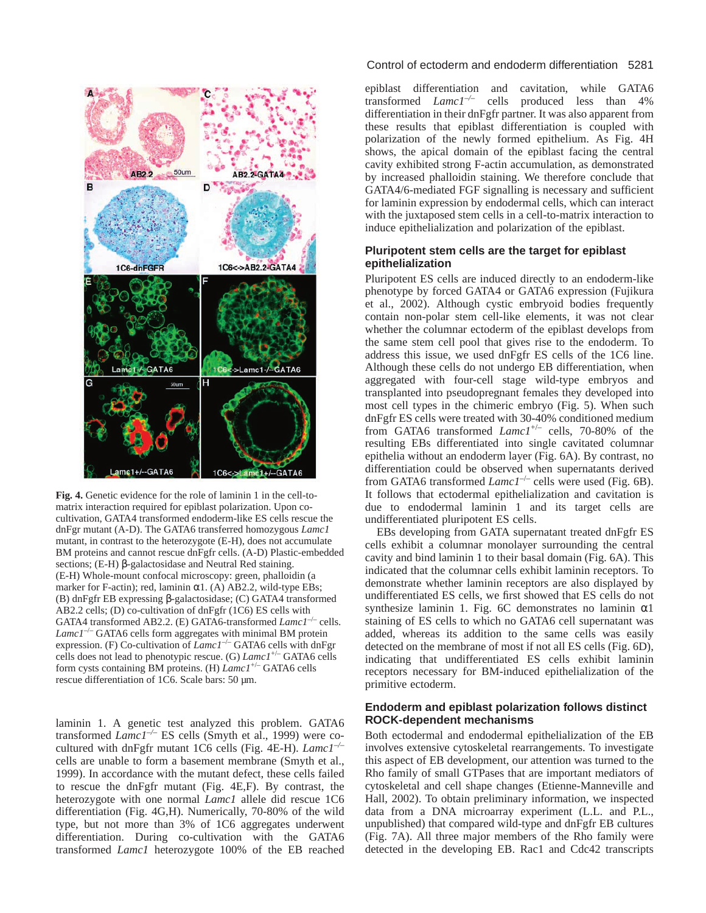

**Fig. 4.** Genetic evidence for the role of laminin 1 in the cell-tomatrix interaction required for epiblast polarization. Upon cocultivation, GATA4 transformed endoderm-like ES cells rescue the dnFgr mutant (A-D). The GATA6 transferred homozygous *Lamc1* mutant, in contrast to the heterozygote (E-H), does not accumulate BM proteins and cannot rescue dnFgfr cells. (A-D) Plastic-embedded sections; (E-H) β-galactosidase and Neutral Red staining. (E-H) Whole-mount confocal microscopy: green, phalloidin (a marker for F-actin); red, laminin  $\alpha$ 1. (A) AB2.2, wild-type EBs; (B) dnFgfr EB expressing β-galactosidase; (C) GATA4 transformed AB2.2 cells; (D) co-cultivation of dnFgfr (1C6) ES cells with GATA4 transformed AB2.2. (E) GATA6-transformed *Lamc1<sup>-/-</sup>* cells.  $L$ amc $I^{-/-}$  GATA6 cells form aggregates with minimal BM protein expression. (F) Co-cultivation of *Lamc1<sup>-/-</sup>* GATA6 cells with dnFgr cells does not lead to phenotypic rescue. (G) *Lamc1*+/– GATA6 cells form cysts containing BM proteins. (H) *Lamc1*+/– GATA6 cells rescue differentiation of 1C6. Scale bars: 50 µm.

laminin 1. A genetic test analyzed this problem. GATA6 transformed *Lamc1–/–* ES cells (Smyth et al., 1999) were cocultured with dnFgfr mutant 1C6 cells (Fig. 4E-H). *Lamc1–/–* cells are unable to form a basement membrane (Smyth et al., 1999). In accordance with the mutant defect, these cells failed to rescue the dnFgfr mutant (Fig. 4E,F). By contrast, the heterozygote with one normal *Lamc1* allele did rescue 1C6 differentiation (Fig. 4G,H). Numerically, 70-80% of the wild type, but not more than 3% of 1C6 aggregates underwent differentiation. During co-cultivation with the GATA6 transformed *Lamc1* heterozygote 100% of the EB reached

### Control of ectoderm and endoderm differentiation 5281

epiblast differentiation and cavitation, while GATA6 transformed *Lamc1–/–* cells produced less than 4% differentiation in their dnFgfr partner. It was also apparent from these results that epiblast differentiation is coupled with polarization of the newly formed epithelium. As Fig. 4H shows, the apical domain of the epiblast facing the central cavity exhibited strong F-actin accumulation, as demonstrated by increased phalloidin staining. We therefore conclude that GATA4/6-mediated FGF signalling is necessary and sufficient for laminin expression by endodermal cells, which can interact with the juxtaposed stem cells in a cell-to-matrix interaction to induce epithelialization and polarization of the epiblast.

#### **Pluripotent stem cells are the target for epiblast epithelialization**

Pluripotent ES cells are induced directly to an endoderm-like phenotype by forced GATA4 or GATA6 expression (Fujikura et al., 2002). Although cystic embryoid bodies frequently contain non-polar stem cell-like elements, it was not clear whether the columnar ectoderm of the epiblast develops from the same stem cell pool that gives rise to the endoderm. To address this issue, we used dnFgfr ES cells of the 1C6 line. Although these cells do not undergo EB differentiation, when aggregated with four-cell stage wild-type embryos and transplanted into pseudopregnant females they developed into most cell types in the chimeric embryo (Fig. 5). When such dnFgfr ES cells were treated with 30-40% conditioned medium from GATA6 transformed *Lamc1*+/– cells, 70-80% of the resulting EBs differentiated into single cavitated columnar epithelia without an endoderm layer (Fig. 6A). By contrast, no differentiation could be observed when supernatants derived from GATA6 transformed *Lamc1<sup>-/-</sup>* cells were used (Fig. 6B). It follows that ectodermal epithelialization and cavitation is due to endodermal laminin 1 and its target cells are undifferentiated pluripotent ES cells.

EBs developing from GATA supernatant treated dnFgfr ES cells exhibit a columnar monolayer surrounding the central cavity and bind laminin 1 to their basal domain (Fig. 6A). This indicated that the columnar cells exhibit laminin receptors. To demonstrate whether laminin receptors are also displayed by undifferentiated ES cells, we first showed that ES cells do not synthesize laminin 1. Fig. 6C demonstrates no laminin  $\alpha$ 1 staining of ES cells to which no GATA6 cell supernatant was added, whereas its addition to the same cells was easily detected on the membrane of most if not all ES cells (Fig. 6D), indicating that undifferentiated ES cells exhibit laminin receptors necessary for BM-induced epithelialization of the primitive ectoderm.

#### **Endoderm and epiblast polarization follows distinct ROCK-dependent mechanisms**

Both ectodermal and endodermal epithelialization of the EB involves extensive cytoskeletal rearrangements. To investigate this aspect of EB development, our attention was turned to the Rho family of small GTPases that are important mediators of cytoskeletal and cell shape changes (Etienne-Manneville and Hall, 2002). To obtain preliminary information, we inspected data from a DNA microarray experiment (L.L. and P.L., unpublished) that compared wild-type and dnFgfr EB cultures (Fig. 7A). All three major members of the Rho family were detected in the developing EB. Rac1 and Cdc42 transcripts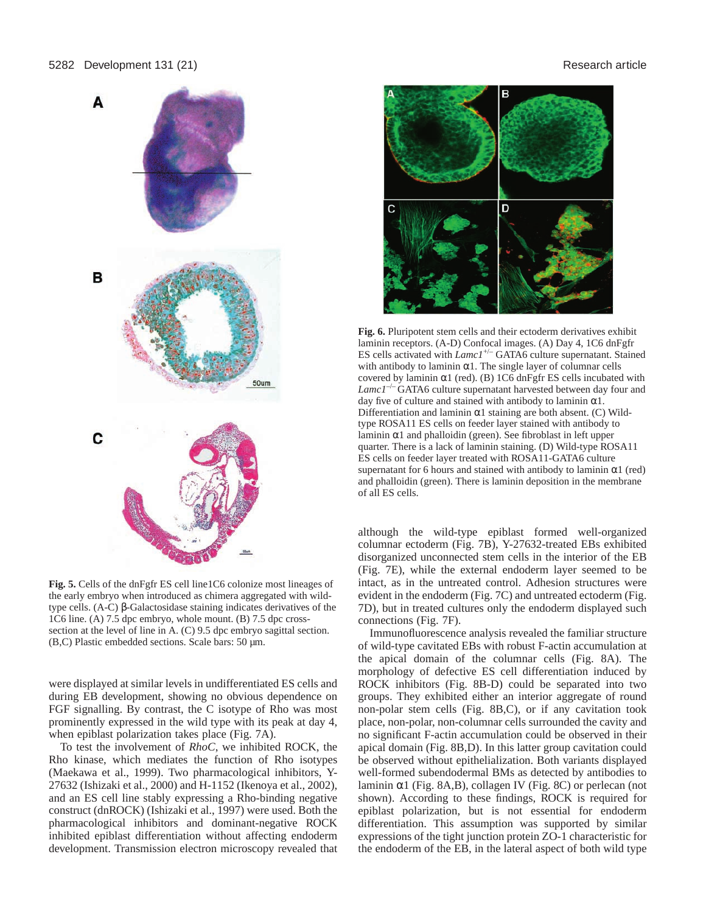

**Fig. 5.** Cells of the dnFgfr ES cell line1C6 colonize most lineages of the early embryo when introduced as chimera aggregated with wildtype cells. (A-C) β-Galactosidase staining indicates derivatives of the 1C6 line. (A) 7.5 dpc embryo, whole mount. (B) 7.5 dpc crosssection at the level of line in A. (C) 9.5 dpc embryo sagittal section. (B,C) Plastic embedded sections. Scale bars: 50 µm.

were displayed at similar levels in undifferentiated ES cells and during EB development, showing no obvious dependence on FGF signalling. By contrast, the C isotype of Rho was most prominently expressed in the wild type with its peak at day 4, when epiblast polarization takes place (Fig. 7A).

To test the involvement of *RhoC*, we inhibited ROCK, the Rho kinase, which mediates the function of Rho isotypes (Maekawa et al., 1999). Two pharmacological inhibitors, Y-27632 (Ishizaki et al., 2000) and H-1152 (Ikenoya et al., 2002), and an ES cell line stably expressing a Rho-binding negative construct (dnROCK) (Ishizaki et al., 1997) were used. Both the pharmacological inhibitors and dominant-negative ROCK inhibited epiblast differentiation without affecting endoderm development. Transmission electron microscopy revealed that



**Fig. 6.** Pluripotent stem cells and their ectoderm derivatives exhibit laminin receptors. (A-D) Confocal images. (A) Day 4, 1C6 dnFgfr ES cells activated with *Lamc1*+/– GATA6 culture supernatant. Stained with antibody to laminin  $\alpha$ 1. The single layer of columnar cells covered by laminin  $\alpha$ 1 (red). (B) 1C6 dnFgfr ES cells incubated with Lamc1<sup>-/-</sup>GATA6 culture supernatant harvested between day four and day five of culture and stained with antibody to laminin  $\alpha$ 1. Differentiation and laminin  $\alpha$ 1 staining are both absent. (C) Wildtype ROSA11 ES cells on feeder layer stained with antibody to laminin α1 and phalloidin (green). See fibroblast in left upper quarter. There is a lack of laminin staining. (D) Wild-type ROSA11 ES cells on feeder layer treated with ROSA11-GATA6 culture supernatant for 6 hours and stained with antibody to laminin  $\alpha$ 1 (red) and phalloidin (green). There is laminin deposition in the membrane of all ES cells.

although the wild-type epiblast formed well-organized columnar ectoderm (Fig. 7B), Y-27632-treated EBs exhibited disorganized unconnected stem cells in the interior of the EB (Fig. 7E), while the external endoderm layer seemed to be intact, as in the untreated control. Adhesion structures were evident in the endoderm (Fig. 7C) and untreated ectoderm (Fig. 7D), but in treated cultures only the endoderm displayed such connections (Fig. 7F).

Immunofluorescence analysis revealed the familiar structure of wild-type cavitated EBs with robust F-actin accumulation at the apical domain of the columnar cells (Fig. 8A). The morphology of defective ES cell differentiation induced by ROCK inhibitors (Fig. 8B-D) could be separated into two groups. They exhibited either an interior aggregate of round non-polar stem cells (Fig. 8B,C), or if any cavitation took place, non-polar, non-columnar cells surrounded the cavity and no significant F-actin accumulation could be observed in their apical domain (Fig. 8B,D). In this latter group cavitation could be observed without epithelialization. Both variants displayed well-formed subendodermal BMs as detected by antibodies to laminin  $\alpha$ 1 (Fig. 8A,B), collagen IV (Fig. 8C) or perlecan (not shown). According to these findings, ROCK is required for epiblast polarization, but is not essential for endoderm differentiation. This assumption was supported by similar expressions of the tight junction protein ZO-1 characteristic for the endoderm of the EB, in the lateral aspect of both wild type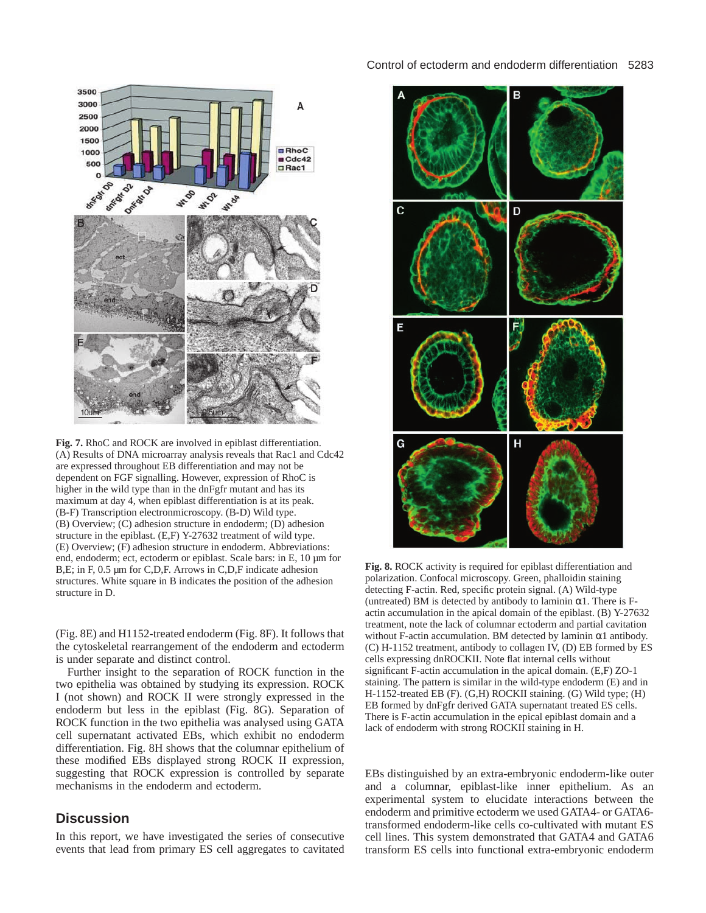

**Fig. 7.** RhoC and ROCK are involved in epiblast differentiation. (A) Results of DNA microarray analysis reveals that Rac1 and Cdc42 are expressed throughout EB differentiation and may not be dependent on FGF signalling. However, expression of RhoC is higher in the wild type than in the dnFgfr mutant and has its maximum at day 4, when epiblast differentiation is at its peak. (B-F) Transcription electronmicroscopy. (B-D) Wild type. (B) Overview; (C) adhesion structure in endoderm; (D) adhesion structure in the epiblast. (E,F) Y-27632 treatment of wild type. (E) Overview; (F) adhesion structure in endoderm. Abbreviations: end, endoderm; ect, ectoderm or epiblast. Scale bars: in E, 10 µm for B, E; in F, 0.5 µm for C, D, F. Arrows in C, D, F indicate adhesion structures. White square in B indicates the position of the adhesion structure in D.

(Fig. 8E) and H1152-treated endoderm (Fig. 8F). It follows that the cytoskeletal rearrangement of the endoderm and ectoderm is under separate and distinct control.

Further insight to the separation of ROCK function in the two epithelia was obtained by studying its expression. ROCK I (not shown) and ROCK II were strongly expressed in the endoderm but less in the epiblast (Fig. 8G). Separation of ROCK function in the two epithelia was analysed using GATA cell supernatant activated EBs, which exhibit no endoderm differentiation. Fig. 8H shows that the columnar epithelium of these modified EBs displayed strong ROCK II expression, suggesting that ROCK expression is controlled by separate mechanisms in the endoderm and ectoderm.

# **Discussion**

In this report, we have investigated the series of consecutive events that lead from primary ES cell aggregates to cavitated



**Fig. 8.** ROCK activity is required for epiblast differentiation and polarization. Confocal microscopy. Green, phalloidin staining detecting F-actin. Red, specific protein signal. (A) Wild-type (untreated) BM is detected by antibody to laminin  $\alpha$ 1. There is Factin accumulation in the apical domain of the epiblast. (B) Y-27632 treatment, note the lack of columnar ectoderm and partial cavitation without F-actin accumulation. BM detected by laminin  $\alpha$ 1 antibody. (C) H-1152 treatment, antibody to collagen IV, (D) EB formed by ES cells expressing dnROCKII. Note flat internal cells without significant F-actin accumulation in the apical domain. (E,F) ZO-1 staining. The pattern is similar in the wild-type endoderm (E) and in H-1152-treated EB (F). (G,H) ROCKII staining. (G) Wild type; (H) EB formed by dnFgfr derived GATA supernatant treated ES cells. There is F-actin accumulation in the epical epiblast domain and a lack of endoderm with strong ROCKII staining in H.

EBs distinguished by an extra-embryonic endoderm-like outer and a columnar, epiblast-like inner epithelium. As an experimental system to elucidate interactions between the endoderm and primitive ectoderm we used GATA4- or GATA6 transformed endoderm-like cells co-cultivated with mutant ES cell lines. This system demonstrated that GATA4 and GATA6 transform ES cells into functional extra-embryonic endoderm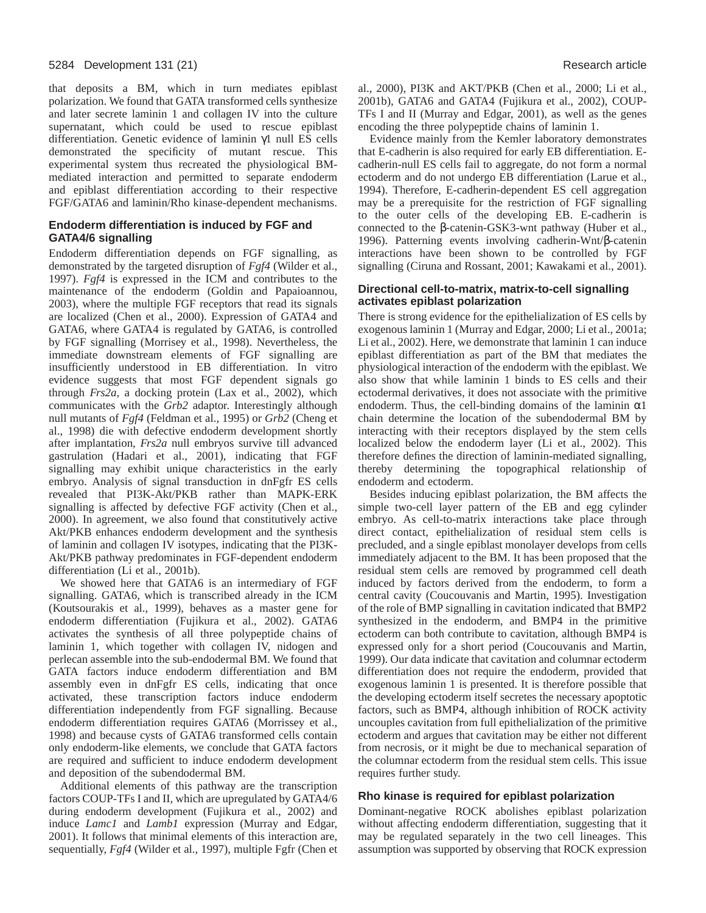that deposits a BM, which in turn mediates epiblast polarization. We found that GATA transformed cells synthesize and later secrete laminin 1 and collagen IV into the culture supernatant, which could be used to rescue epiblast differentiation. Genetic evidence of laminin γ1 null ES cells demonstrated the specificity of mutant rescue. This experimental system thus recreated the physiological BMmediated interaction and permitted to separate endoderm and epiblast differentiation according to their respective FGF/GATA6 and laminin/Rho kinase-dependent mechanisms.

## **Endoderm differentiation is induced by FGF and GATA4/6 signalling**

Endoderm differentiation depends on FGF signalling, as demonstrated by the targeted disruption of *Fgf4* (Wilder et al., 1997). *Fgf4* is expressed in the ICM and contributes to the maintenance of the endoderm (Goldin and Papaioannou, 2003), where the multiple FGF receptors that read its signals are localized (Chen et al., 2000). Expression of GATA4 and GATA6, where GATA4 is regulated by GATA6, is controlled by FGF signalling (Morrisey et al., 1998). Nevertheless, the immediate downstream elements of FGF signalling are insufficiently understood in EB differentiation. In vitro evidence suggests that most FGF dependent signals go through *Frs2a,* a docking protein (Lax et al., 2002), which communicates with the *Grb2* adaptor. Interestingly although null mutants of *Fgf4* (Feldman et al., 1995) or *Grb2* (Cheng et al., 1998) die with defective endoderm development shortly after implantation, *Frs2a* null embryos survive till advanced gastrulation (Hadari et al., 2001), indicating that FGF signalling may exhibit unique characteristics in the early embryo. Analysis of signal transduction in dnFgfr ES cells revealed that PI3K-Akt/PKB rather than MAPK-ERK signalling is affected by defective FGF activity (Chen et al., 2000). In agreement, we also found that constitutively active Akt/PKB enhances endoderm development and the synthesis of laminin and collagen IV isotypes, indicating that the PI3K-Akt/PKB pathway predominates in FGF-dependent endoderm differentiation (Li et al., 2001b).

We showed here that GATA6 is an intermediary of FGF signalling. GATA6, which is transcribed already in the ICM (Koutsourakis et al., 1999), behaves as a master gene for endoderm differentiation (Fujikura et al., 2002). GATA6 activates the synthesis of all three polypeptide chains of laminin 1, which together with collagen IV, nidogen and perlecan assemble into the sub-endodermal BM. We found that GATA factors induce endoderm differentiation and BM assembly even in dnFgfr ES cells, indicating that once activated, these transcription factors induce endoderm differentiation independently from FGF signalling. Because endoderm differentiation requires GATA6 (Morrissey et al., 1998) and because cysts of GATA6 transformed cells contain only endoderm-like elements, we conclude that GATA factors are required and sufficient to induce endoderm development and deposition of the subendodermal BM.

Additional elements of this pathway are the transcription factors COUP-TFs I and II, which are upregulated by GATA4/6 during endoderm development (Fujikura et al., 2002) and induce *Lamc1* and *Lamb1* expression (Murray and Edgar, 2001). It follows that minimal elements of this interaction are, sequentially, *Fgf4* (Wilder et al., 1997), multiple Fgfr (Chen et al., 2000), PI3K and AKT/PKB (Chen et al., 2000; Li et al., 2001b), GATA6 and GATA4 (Fujikura et al., 2002), COUP-TFs I and II (Murray and Edgar, 2001), as well as the genes encoding the three polypeptide chains of laminin 1.

Evidence mainly from the Kemler laboratory demonstrates that E-cadherin is also required for early EB differentiation. Ecadherin-null ES cells fail to aggregate, do not form a normal ectoderm and do not undergo EB differentiation (Larue et al., 1994). Therefore, E-cadherin-dependent ES cell aggregation may be a prerequisite for the restriction of FGF signalling to the outer cells of the developing EB. E-cadherin is connected to the β-catenin-GSK3-wnt pathway (Huber et al., 1996). Patterning events involving cadherin-Wnt/β-catenin interactions have been shown to be controlled by FGF signalling (Ciruna and Rossant, 2001; Kawakami et al., 2001).

## **Directional cell-to-matrix, matrix-to-cell signalling activates epiblast polarization**

There is strong evidence for the epithelialization of ES cells by exogenous laminin 1 (Murray and Edgar, 2000; Li et al., 2001a; Li et al., 2002). Here, we demonstrate that laminin 1 can induce epiblast differentiation as part of the BM that mediates the physiological interaction of the endoderm with the epiblast. We also show that while laminin 1 binds to ES cells and their ectodermal derivatives, it does not associate with the primitive endoderm. Thus, the cell-binding domains of the laminin  $\alpha$ 1 chain determine the location of the subendodermal BM by interacting with their receptors displayed by the stem cells localized below the endoderm layer (Li et al., 2002). This therefore defines the direction of laminin-mediated signalling, thereby determining the topographical relationship of endoderm and ectoderm.

Besides inducing epiblast polarization, the BM affects the simple two-cell layer pattern of the EB and egg cylinder embryo. As cell-to-matrix interactions take place through direct contact, epithelialization of residual stem cells is precluded, and a single epiblast monolayer develops from cells immediately adjacent to the BM. It has been proposed that the residual stem cells are removed by programmed cell death induced by factors derived from the endoderm, to form a central cavity (Coucouvanis and Martin, 1995). Investigation of the role of BMP signalling in cavitation indicated that BMP2 synthesized in the endoderm, and BMP4 in the primitive ectoderm can both contribute to cavitation, although BMP4 is expressed only for a short period (Coucouvanis and Martin, 1999). Our data indicate that cavitation and columnar ectoderm differentiation does not require the endoderm, provided that exogenous laminin 1 is presented. It is therefore possible that the developing ectoderm itself secretes the necessary apoptotic factors, such as BMP4, although inhibition of ROCK activity uncouples cavitation from full epithelialization of the primitive ectoderm and argues that cavitation may be either not different from necrosis, or it might be due to mechanical separation of the columnar ectoderm from the residual stem cells. This issue requires further study.

#### **Rho kinase is required for epiblast polarization**

Dominant-negative ROCK abolishes epiblast polarization without affecting endoderm differentiation, suggesting that it may be regulated separately in the two cell lineages. This assumption was supported by observing that ROCK expression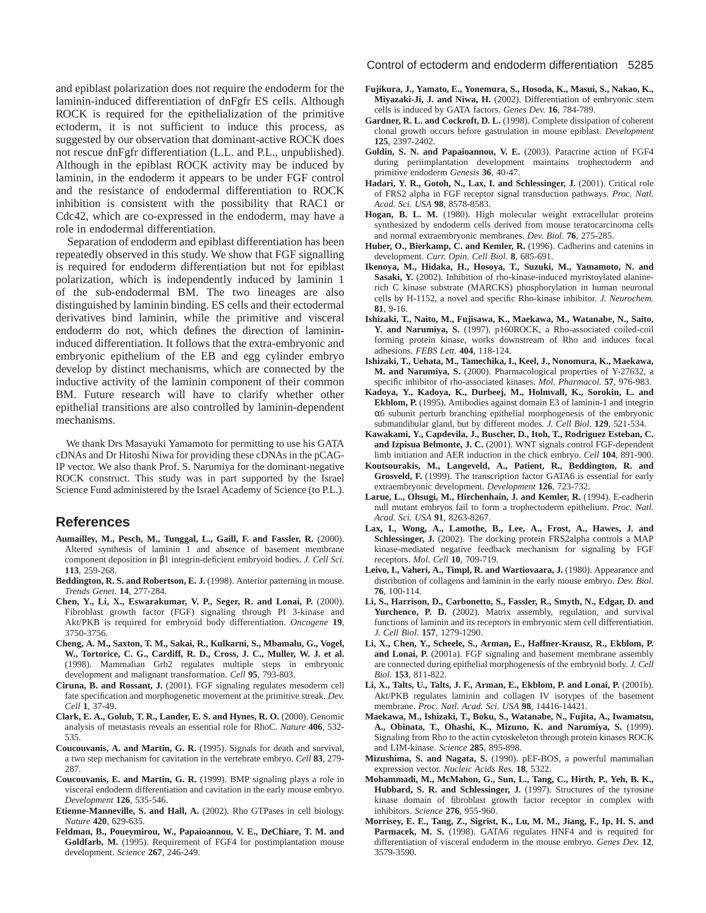and epiblast polarization does not require the endoderm for the laminin-induced differentiation of dnFgfr ES cells. Although ROCK is required for the epithelialization of the primitive ectoderm, it is not sufficient to induce this process, as suggested by our observation that dominant-active ROCK does not rescue dnFgfr differentiation (L.L. and P.L., unpublished). Although in the epiblast ROCK activity may be induced by laminin, in the endoderm it appears to be under FGF control and the resistance of endodermal differentiation to ROCK inhibition is consistent with the possibility that RAC1 or Cdc42, which are co-expressed in the endoderm, may have a role in endodermal differentiation.

Separation of endoderm and epiblast differentiation has been repeatedly observed in this study. We show that FGF signalling is required for endoderm differentiation but not for epiblast polarization, which is independently induced by laminin 1 of the sub-endodermal BM. The two lineages are also distinguished by laminin binding. ES cells and their ectodermal derivatives bind laminin, while the primitive and visceral endoderm do not, which defines the direction of laminininduced differentiation. It follows that the extra-embryonic and embryonic epithelium of the EB and egg cylinder embryo develop by distinct mechanisms, which are connected by the inductive activity of the laminin component of their common BM. Future research will have to clarify whether other epithelial transitions are also controlled by laminin-dependent mechanisms.

We thank Drs Masayuki Yamamoto for permitting to use his GATA cDNAs and Dr Hitoshi Niwa for providing these cDNAs in the pCAG-IP vector. We also thank Prof. S. Narumiya for the dominant-negative ROCK construct. This study was in part supported by the Israel Science Fund administered by the Israel Academy of Science (to P.L.).

## **References**

- **Aumailley, M., Pesch, M., Tunggal, L., Gaill, F. and Fassler, R.** (2000). Altered synthesis of laminin 1 and absence of basement membrane component deposition in β1 integrin-deficient embryoid bodies. *J. Cell Sci.* **113**, 259-268.
- **Beddington, R. S. and Robertson, E. J.** (1998). Anterior patterning in mouse. *Trends Genet.* **14**, 277-284.
- **Chen, Y., Li, X., Eswarakumar, V. P., Seger, R. and Lonai, P.** (2000). Fibroblast growth factor (FGF) signaling through PI 3-kinase and Akt/PKB is required for embryoid body differentiation. *Oncogene* **19**, 3750-3756.
- **Cheng, A. M., Saxton, T. M., Sakai, R., Kulkarni, S., Mbamalu, G., Vogel, W., Tortorice, C. G., Cardiff, R. D., Cross, J. C., Muller, W. J. et al.** (1998). Mammalian Grb2 regulates multiple steps in embryonic development and malignant transformation. *Cell* **95**, 793-803.
- **Ciruna, B. and Rossant, J.** (2001). FGF signaling regulates mesoderm cell fate specification and morphogenetic movement at the primitive streak. *Dev. Cell* **1**, 37-49.
- **Clark, E. A., Golub, T. R., Lander, E. S. and Hynes, R. O.** (2000). Genomic analysis of metastasis reveals an essential role for RhoC. *Nature* **406**, 532- 535.
- **Coucouvanis, A. and Martin, G. R.** (1995). Signals for death and survival, a two step mechanism for cavitation in the vertebrate embryo. *Cell* **83**, 279- 287.
- **Coucouvanis, E. and Martin, G. R.** (1999). BMP signaling plays a role in visceral endoderm differentiation and cavitation in the early mouse embryo. *Development* **126**, 535-546.
- **Etienne-Manneville, S. and Hall, A.** (2002). Rho GTPases in cell biology. *Nature* **420**, 629-635.
- **Feldman, B., Poueymirou, W., Papaioannou, V. E., DeChiare, T. M. and Goldfarb, M.** (1995). Requirement of FGF4 for postimplantation mouse development. *Science* **267**, 246-249.
- **Fujikura, J., Yamato, E., Yonemura, S., Hosoda, K., Masui, S., Nakao, K., Miyazaki-Ji, J. and Niwa, H.** (2002). Differentiation of embryonic stem cells is induced by GATA factors. *Genes Dev.* **16**, 784-789.
- Gardner, R. L. and Cockroft, D. L. (1998). Complete dissipation of coherent clonal growth occurs before gastrulation in mouse epiblast. *Development* **125**, 2397-2402.
- **Goldin, S. N. and Papaioannou, V. E.** (2003). Paracrine action of FGF4 during periimplantation development maintains trophectoderm and primitive endoderm *Genesis* **36**, 40-47.
- Hadari, Y. R., Gotoh, N., Lax, I. and Schlessinger, J. (2001). Critical role of FRS2 alpha in FGF receptor signal transduction pathways. *Proc. Natl. Acad. Sci. USA* **98**, 8578-8583.
- **Hogan, B. L. M.** (1980). High molecular weight extracellular proteins synthesized by endoderm cells derived from mouse teratocarcinoma cells and normal extraembryonic membranes. *Dev. Biol.* **76**, 275-285.
- Huber, O., Bierkamp, C. and Kemler, R. (1996). Cadherins and catenins in development. *Curr. Opin. Cell Biol.* **8**, 685-691.
- **Ikenoya, M., Hidaka, H., Hosoya, T., Suzuki, M., Yamamoto, N. and** Sasaki, Y. (2002). Inhibition of rho-kinase-induced myristoylated alaninerich C kinase substrate (MARCKS) phosphorylation in human neuronal cells by H-1152, a novel and specific Rho-kinase inhibitor. *J. Neurochem.* **81**, 9-16.
- **Ishizaki, T., Naito, M., Fujisawa, K., Maekawa, M., Watanabe, N., Saito, Y. and Narumiya, S.** (1997). p160ROCK, a Rho-associated coiled-coil forming protein kinase, works downstream of Rho and induces focal adhesions. *FEBS Lett.* **404**, 118-124.
- **Ishizaki, T., Uehata, M., Tamechika, I., Keel, J., Nonomura, K., Maekawa, M. and Narumiya, S.** (2000). Pharmacological properties of Y-27632, a specific inhibitor of rho-associated kinases. *Mol. Pharmacol.* **57**, 976-983.
- **Kadoya, Y., Kadoya, K., Durbeej, M., Holmvall, K., Sorokin, L. and Ekblom, P.** (1995). Antibodies against domain E3 of laminin-1 and integrin α6 subunit perturb branching epithelial morphogenesis of the embryonic submandibular gland, but by different modes. *J. Cell Biol.* **129**, 521-534.
- **Kawakami, Y., Capdevila, J., Buscher, D., Itoh, T., Rodriguez Esteban, C.** and Izpisua Belmonte, J. C. (2001). WNT signals control FGF-dependent limb initiation and AER induction in the chick embryo. *Cell* **104**, 891-900.
- **Koutsourakis, M., Langeveld, A., Patient, R., Beddington, R. and Grosveld, F.** (1999). The transcription factor GATA6 is essential for early extraembryonic development. *Development* **126**, 723-732.
- Larue, L., Ohsugi, M., Hirchenhain, J. and Kemler, R. (1994). E-cadherin null mutant embryos fail to form a trophectoderm epithelium. *Proc. Natl. Acad. Sci. USA* **91**, 8263-8267.
- **Lax, I., Wong, A., Lamothe, B., Lee, A., Frost, A., Hawes, J. and** Schlessinger, J. (2002). The docking protein FRS2alpha controls a MAP kinase-mediated negative feedback mechanism for signaling by FGF receptors. *Mol. Cell* **10**, 709-719.
- Leivo, I., Vaheri, A., Timpl, R. and Wartiovaara, J. (1980). Appearance and distribution of collagens and laminin in the early mouse embryo. *Dev. Biol.* **76**, 100-114.
- **Li, S., Harrison, D., Carbonetto, S., Fassler, R., Smyth, N., Edgar, D. and** Yurchenco, P. D. (2002). Matrix assembly, regulation, and survival functions of laminin and its receptors in embryonic stem cell differentiation. *J. Cell Biol.* **157**, 1279-1290.
- **Li, X., Chen, Y., Scheele, S., Arman, E., Haffner-Krausz, R., Ekblom, P. and Lonai, P.** (2001a). FGF signaling and basement membrane assembly are connected during epithelial morphogenesis of the embryoid body. *J. Cell Biol.* **153**, 811-822.
- **Li, X., Talts, U., Talts, J. F., Arman, E., Ekblom, P. and Lonai, P.** (2001b). Akt/PKB regulates laminin and collagen IV isotypes of the basement membrane. *Proc. Natl. Acad. Sci. USA* **98**, 14416-14421.
- **Maekawa, M., Ishizaki, T., Boku, S., Watanabe, N., Fujita, A., Iwamatsu, A., Obinata, T., Ohashi, K., Mizuno, K. and Narumiya, S.** (1999). Signaling from Rho to the actin cytoskeleton through protein kinases ROCK and LIM-kinase. *Science* **285**, 895-898.
- **Mizushima, S. and Nagata, S.** (1990). pEF-BOS, a powerful mammalian expression vector. *Nucleic Acids Res.* **18**, 5322.
- **Mohammadi, M., McMahon, G., Sun, L., Tang, C., Hirth, P., Yeh, B. K.,** Hubbard, S. R. and Schlessinger, J. (1997). Structures of the tyrosine kinase domain of fibroblast growth factor receptor in complex with inhibitors. *Science* **276**, 955-960.
- **Morrisey, E. E., Tang, Z., Sigrist, K., Lu, M. M., Jiang, F., Ip, H. S. and** Parmacek, M. S. (1998). GATA6 regulates HNF4 and is required for differentiation of visceral endoderm in the mouse embryo. *Genes Dev.* **12**, 3579-3590.